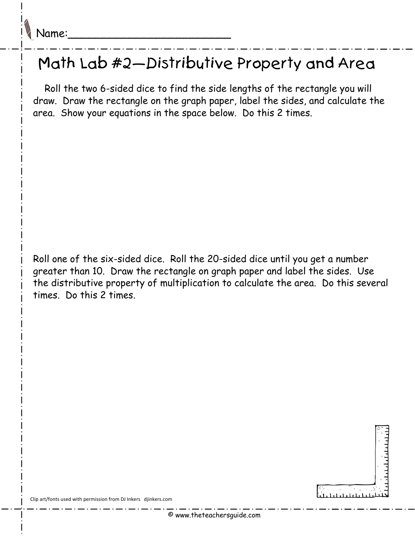## Math Lab #2—Distributive Property and Area

 Roll the two 6-sided dice to find the side lengths of the rectangle you will draw. Draw the rectangle on the graph paper, label the sides, and calculate the area. Show your equations in the space below. Do this 2 times.

Roll one of the six-sided dice. Roll the 20-sided dice until you get a number greater than 10. Draw the rectangle on graph paper and label the sides. Use the distributive property of multiplication to calculate the area. Do this several times. Do this 2 times.



Clip art/fonts used with permission from DJ Inkers djinkers.com